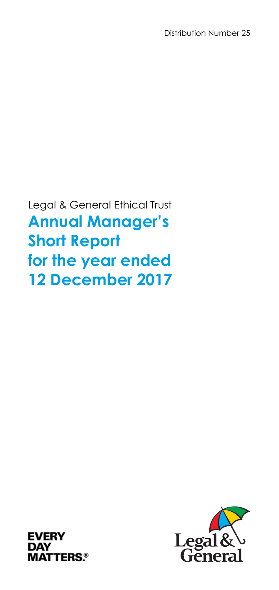Legal & General Ethical Trust **Annual Manager's Short Report for the year ended 12 December 2017** 



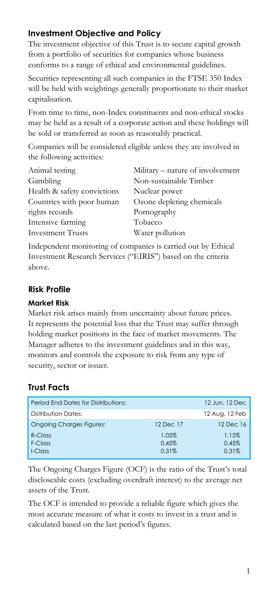# **Investment Objective and Policy**

The investment objective of this Trust is to secure capital growth from a portfolio of securities for companies whose business conforms to a range of ethical and environmental guidelines.

Securities representing all such companies in the FTSE 350 Index will be held with weightings generally proportionate to their market capitalisation.

From time to time, non-Index constituents and non-ethical stocks may be held as a result of a corporate action and these holdings will be sold or transferred as soon as reasonably practical.

Companies will be considered eligible unless they are involved in the following activities:

| Animal testing              | Military – nature of involvement |
|-----------------------------|----------------------------------|
| Gambling                    | Non-sustainable Timber           |
| Health & safety convictions | Nuclear power                    |
| Countries with poor human   | Ozone depleting chemicals        |
| rights records              | Pornography                      |
| Intensive farming           | Tobacco                          |
| <b>Investment Trusts</b>    | Water pollution                  |
|                             |                                  |

Independent monitoring of companies is carried out by Ethical Investment Research Services ("EIRIS") based on the criteria above.

# **Risk Profile**

## **Market Risk**

Market risk arises mainly from uncertainty about future prices. It represents the potential loss that the Trust may suffer through holding market positions in the face of market movements. The Manager adheres to the investment guidelines and in this way, monitors and controls the exposure to risk from any type of security, sector or issuer.

# **Trust Facts**

| <b>Period Fnd Dates for Distributions:</b> |           | 12 Jun. 12 Dec |
|--------------------------------------------|-----------|----------------|
| Distribution Dates:                        |           | 12 Aug, 12 Feb |
| <b>Ongoing Charges Figures:</b>            | 12 Dec 17 | 12 Dec 16      |
| $R$ -Class                                 | 1.05%     | 1.15%          |
| F-Class                                    | 0.45%     | 0.45%          |
| I-Class                                    | 0.31%     | 0.31%          |

The Ongoing Charges Figure (OCF) is the ratio of the Trust's total discloseable costs (excluding overdraft interest) to the average net assets of the Trust.

The OCF is intended to provide a reliable figure which gives the most accurate measure of what it costs to invest in a trust and is calculated based on the last period's figures.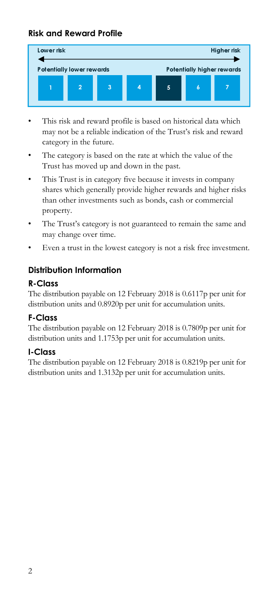# **Risk and Reward Profile**



- This risk and reward profile is based on historical data which may not be a reliable indication of the Trust's risk and reward category in the future.
- The category is based on the rate at which the value of the Trust has moved up and down in the past.
- This Trust is in category five because it invests in company shares which generally provide higher rewards and higher risks than other investments such as bonds, cash or commercial property.
- The Trust's category is not guaranteed to remain the same and may change over time.
- Even a trust in the lowest category is not a risk free investment.

# **Distribution Information**

## **R-Class**

The distribution payable on 12 February 2018 is 0.6117p per unit for distribution units and 0.8920p per unit for accumulation units.

# **F-Class**

The distribution payable on 12 February 2018 is 0.7809p per unit for distribution units and 1.1753p per unit for accumulation units.

# **I-Class**

The distribution payable on 12 February 2018 is 0.8219p per unit for distribution units and 1.3132p per unit for accumulation units.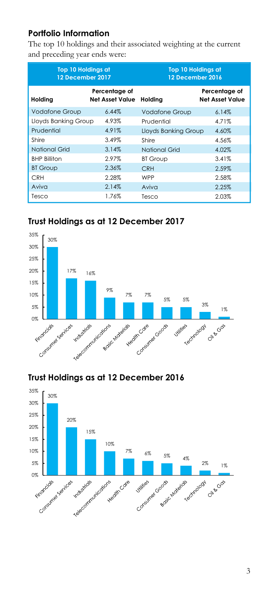# **Portfolio Information**

The top 10 holdings and their associated weighting at the current and preceding year ends were:

| Top 10 Holdings at<br>12 December 2017 |                                  | <b>Top 10 Holdings at</b><br>12 December 2016 |                                         |
|----------------------------------------|----------------------------------|-----------------------------------------------|-----------------------------------------|
| Holding                                | Percentage of<br>Net Asset Value | Holdina                                       | Percentage of<br><b>Net Asset Value</b> |
| <b>Vodafone Group</b>                  | 6.44%                            | <b>Vodafone Group</b>                         | 6.14%                                   |
| Lloyds Banking Group                   | 4.93%                            | Prudential                                    | 4.71%                                   |
| Prudential                             | 4.91%                            | <b>Lloyds Banking Group</b>                   | 4.60%                                   |
| Shire                                  | 3.49%                            | Shire                                         | 4.56%                                   |
| National Grid                          | 3.14%                            | <b>National Grid</b>                          | 4.02%                                   |
| <b>BHP Billiton</b>                    | 2.97%                            | <b>BT Group</b>                               | 3.41%                                   |
| <b>BT Group</b>                        | 2.36%                            | <b>CRH</b>                                    | 2.59%                                   |
| <b>CRH</b>                             | 2.28%                            | <b>WPP</b>                                    | 2.58%                                   |
| Aviva                                  | 2.14%                            | Aviva                                         | 2.25%                                   |
| Tesco                                  | 1.76%                            | Tesco                                         | 2.03%                                   |

# **Trust Holdings as at 12 December 2017**



# **Trust Holdings as at 12 December 2016**

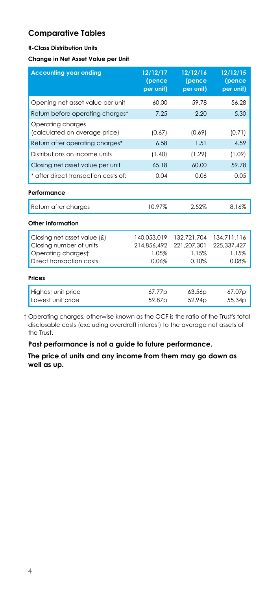## **Comparative Tables**

#### **R-Class Distribution Units**

#### **Change in Net Asset Value per Unit**

| <b>Accounting year ending</b>                          | 12/12/17<br>(pence<br>per unit) | 12/12/16<br>(pence<br>per unit) | 12/12/15<br>(pence<br>per unit) |
|--------------------------------------------------------|---------------------------------|---------------------------------|---------------------------------|
| Opening net asset value per unit                       | 60.00                           | 59.78                           | 56.28                           |
| Return before operating charges*                       | 7.25                            | 2.20                            | 5.30                            |
| Operating charges<br>(calculated on average price)     | (0.67)                          | (0.69)                          | (0.71)                          |
| Return after operating charges*                        | 6.58                            | 1.51                            | 4.59                            |
| Distributions on income units                          | (1.40)                          | (1.29)                          | (1.09)                          |
| Closing net asset value per unit                       | 65.18                           | 60.00                           | 59.78                           |
| * after direct transaction costs of:                   | 0.04                            | 0.06                            | 0.05                            |
| Performance                                            |                                 |                                 |                                 |
| Return after charges                                   | 10.97%                          | 2.52%                           | 8.16%                           |
| Other Information                                      |                                 |                                 |                                 |
| Closing net asset value (£)<br>Closing number of units | 140.053.019<br>214.856.492      | 132,721,704<br>221, 207, 301    | 134.711.116<br>225.337.427      |
| Operating chargest                                     | 1.05%                           | 1.15%                           | 1.15%                           |
| Direct transaction costs                               | 0.06%                           | 0.10%                           | 0.08%                           |
| Prices                                                 |                                 |                                 |                                 |
| Highest unit price                                     | 67.77p                          | 63.56 <sub>p</sub>              | 67.07p                          |
| Lowest unit price                                      | 59.87 <sub>p</sub>              | 52.94 <sub>D</sub>              | 55.34 <sub>D</sub>              |

 † Operating charges, otherwise known as the OCF is the ratio of the Trust's total disclosable costs (excluding overdraft interest) to the average net assets of the Trust.

#### **Past performance is not a guide to future performance.**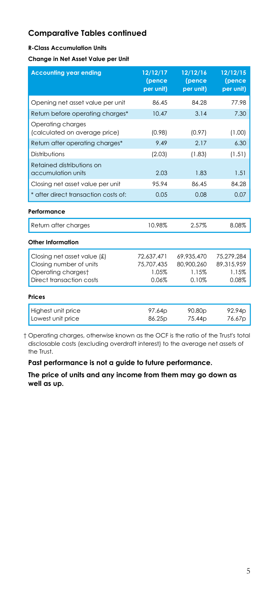#### **R-Class Accumulation Units**

**Change in Net Asset Value per Unit** 

| <b>Accounting year ending</b>                                                                            | 12/12/17<br>(pence<br>per unit)            | 12/12/16<br>(pence<br>per unit)            | 12/12/15<br>(pence<br>per unit)            |
|----------------------------------------------------------------------------------------------------------|--------------------------------------------|--------------------------------------------|--------------------------------------------|
| Opening net asset value per unit                                                                         | 86.45                                      | 84.28                                      | 77.98                                      |
| Return before operating charges*                                                                         | 10.47                                      | 3.14                                       | 7.30                                       |
| Operating charges<br>(calculated on average price)                                                       | (0.98)                                     | (0.97)                                     | (1.00)                                     |
| Return after operating charges*                                                                          | 9.49                                       | 2.17                                       | 6.30                                       |
| Distributions                                                                                            | (2.03)                                     | (1.83)                                     | (1.51)                                     |
| Retained distributions on<br>accumulation units                                                          | 2.03                                       | 1.83                                       | 1.51                                       |
| Closing net asset value per unit                                                                         | 95.94                                      | 86.45                                      | 84.28                                      |
| * after direct transaction costs of:                                                                     | 0.05                                       | 0.08                                       | 0.07                                       |
| Performance                                                                                              |                                            |                                            |                                            |
| Return after charges                                                                                     | 10.98%                                     | 2.57%                                      | 8.08%                                      |
| Other Information                                                                                        |                                            |                                            |                                            |
| Closing net asset value (£)<br>Closing number of units<br>Operating chargest<br>Direct transaction costs | 72,637,471<br>75.707.435<br>1.05%<br>0.06% | 69,935,470<br>80.900.260<br>1.15%<br>0.10% | 75,279,284<br>89.315.959<br>1.15%<br>0.08% |
| <b>Prices</b>                                                                                            |                                            |                                            |                                            |
| Highest unit price<br>Lowest unit price                                                                  | 97.64p<br>86.25p                           | 90.80p<br>75.44p                           | 92.94p<br>76.67p                           |

 † Operating charges, otherwise known as the OCF is the ratio of the Trust's total disclosable costs (excluding overdraft interest) to the average net assets of the Trust.

#### **Past performance is not a guide to future performance.**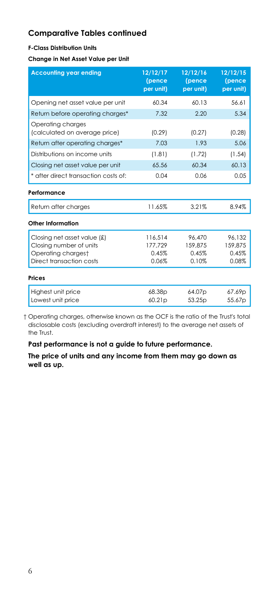#### **F-Class Distribution Units**

**Change in Net Asset Value per Unit** 

| <b>Accounting year ending</b>                                                                            | 12/12/17<br>(pence<br>per unit)      | 12/12/16<br>(pence<br>per unit)     | 12/12/15<br>(pence<br>per unit)     |
|----------------------------------------------------------------------------------------------------------|--------------------------------------|-------------------------------------|-------------------------------------|
| Opening net asset value per unit                                                                         | 60.34                                | 60.13                               | 56.61                               |
| Return before operating charges*                                                                         | 7.32                                 | 2.20                                | 5.34                                |
| Operating charges<br>(calculated on average price)                                                       | (0.29)                               | (0.27)                              | (0.28)                              |
| Return after operating charges*                                                                          | 7.03                                 | 1.93                                | 5.06                                |
| Distributions on income units                                                                            | (1.81)                               | (1.72)                              | (1.54)                              |
| Closing net asset value per unit                                                                         | 65.56                                | 60.34                               | 60.13                               |
| * after direct transaction costs of:                                                                     | 0.04                                 | 0.06                                | 0.05                                |
| Performance                                                                                              |                                      |                                     |                                     |
| Return after charges                                                                                     | 11.65%                               | 3.21%                               | 8.94%                               |
| Other Information                                                                                        |                                      |                                     |                                     |
| Closing net asset value (£)<br>Closing number of units<br>Operating chargest<br>Direct transaction costs | 116.514<br>177.729<br>0.45%<br>0.06% | 96.470<br>159.875<br>0.45%<br>0.10% | 96.132<br>159.875<br>0.45%<br>0.08% |
| <b>Prices</b>                                                                                            |                                      |                                     |                                     |
| Highest unit price<br>Lowest unit price                                                                  | 68.38p<br>60.21 <sub>p</sub>         | 64.07p<br>53.25 <sub>p</sub>        | 67.69p<br>55.67p                    |

 † Operating charges, otherwise known as the OCF is the ratio of the Trust's total disclosable costs (excluding overdraft interest) to the average net assets of the Trust.

#### **Past performance is not a guide to future performance.**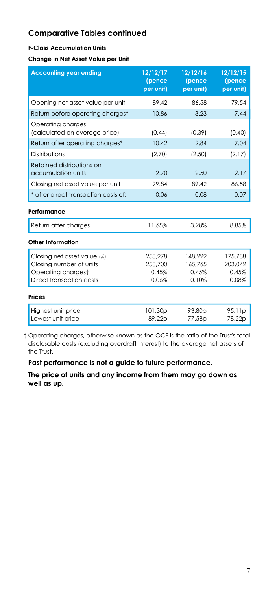#### **F-Class Accumulation Units**

**Change in Net Asset Value per Unit** 

| <b>Accounting year ending</b>                      | 12/12/17<br>(pence<br>per unit) | 12/12/16<br>(pence<br>per unit) | 12/12/15<br>(pence<br>per unit) |
|----------------------------------------------------|---------------------------------|---------------------------------|---------------------------------|
| Opening net asset value per unit                   | 89.42                           | 86.58                           | 79.54                           |
| Return before operating charges*                   | 10.86                           | 3.23                            | 7.44                            |
| Operating charges<br>(calculated on average price) | (0.44)                          | (0.39)                          | (0.40)                          |
| Return after operating charges*                    | 10.42                           | 2.84                            | 7.04                            |
| Distributions                                      | (2.70)                          | (2.50)                          | (2.17)                          |
| Retained distributions on<br>accumulation units    | 2.70                            | 2.50                            | 2.17                            |
| Closing net asset value per unit                   | 99.84                           | 89.42                           | 86.58                           |
| * after direct transaction costs of:               | 0.06                            | 0.08                            | 0.07                            |
| Performance                                        |                                 |                                 |                                 |
| Return after charges                               | 11.65%                          | 3.28%                           | 8.85%                           |
| Other Information                                  |                                 |                                 |                                 |
| Closing net asset value (£)                        | 258,278                         | 148,222                         | 175,788                         |
| Closing number of units                            | 258,700                         | 165.765                         | 203.042                         |
| Operating chargest                                 | 0.45%                           | 0.45%                           | 0.45%                           |
| Direct transaction costs                           | 0.06%                           | 0.10%                           | 0.08%                           |
| <b>Prices</b>                                      |                                 |                                 |                                 |
| Highest unit price                                 | 101.30p                         | 93.80 <sub>p</sub>              | 95.11p                          |
| Lowest unit price                                  | 89.22p                          | 77.58 <sub>p</sub>              | 78.22p                          |

 † Operating charges, otherwise known as the OCF is the ratio of the Trust's total disclosable costs (excluding overdraft interest) to the average net assets of the Trust.

#### **Past performance is not a guide to future performance.**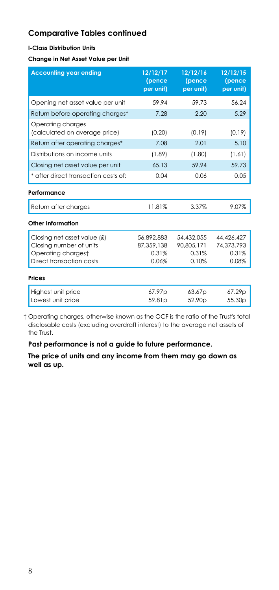#### **I-Class Distribution Units**

**Change in Net Asset Value per Unit** 

| <b>Accounting year ending</b>                                                                            | 12/12/17<br>(pence<br>per unit)            | 12/12/16<br>(pence<br>per unit)            | 12/12/15<br>(pence<br>per unit)            |
|----------------------------------------------------------------------------------------------------------|--------------------------------------------|--------------------------------------------|--------------------------------------------|
| Opening net asset value per unit                                                                         | 59.94                                      | 59.73                                      | 56.24                                      |
| Return before operating charges*                                                                         | 7.28                                       | 2.20                                       | 5.29                                       |
| Operating charges<br>(calculated on average price)                                                       | (0.20)                                     | (0.19)                                     | (0.19)                                     |
| Return after operating charges*                                                                          | 7.08                                       | 2.01                                       | 5.10                                       |
| Distributions on income units                                                                            | (1.89)                                     | (1.80)                                     | (1.61)                                     |
| Closing net asset value per unit                                                                         | 65.13                                      | 59.94                                      | 59.73                                      |
| * after direct transaction costs of:                                                                     | 0.04                                       | 0.06                                       | 0.05                                       |
| Performance                                                                                              |                                            |                                            |                                            |
| Return after charges                                                                                     | 11.81%                                     | 3.37%                                      | 9.07%                                      |
| Other Information                                                                                        |                                            |                                            |                                            |
| Closing net asset value (£)<br>Closing number of units<br>Operating chargest<br>Direct transaction costs | 56,892,883<br>87,359,138<br>0.31%<br>0.06% | 54.432.055<br>90,805,171<br>0.31%<br>0.10% | 44.426.427<br>74,373,793<br>0.31%<br>0.08% |
| <b>Prices</b>                                                                                            |                                            |                                            |                                            |
| Highest unit price<br>Lowest unit price                                                                  | 67.97p<br>59.81 <sub>p</sub>               | 63.67p<br>52.90 <sub>p</sub>               | 67.29p<br>55.30p                           |

 † Operating charges, otherwise known as the OCF is the ratio of the Trust's total disclosable costs (excluding overdraft interest) to the average net assets of the Trust.

#### **Past performance is not a guide to future performance.**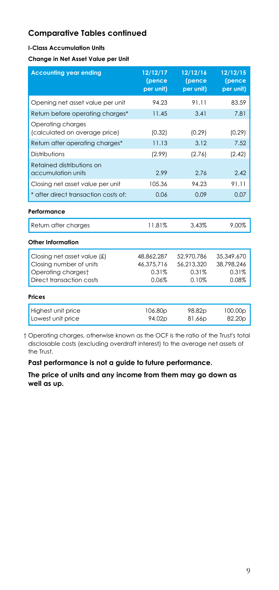#### **I-Class Accumulation Units**

**Change in Net Asset Value per Unit** 

| <b>Accounting year ending</b>                                                                               | 12/12/17<br>(pence<br>per unit)            | 12/12/16<br>(pence<br>per unit)            | 12/12/15<br>(pence<br>per unit)            |
|-------------------------------------------------------------------------------------------------------------|--------------------------------------------|--------------------------------------------|--------------------------------------------|
| Opening net asset value per unit                                                                            | 94.23                                      | 91.11                                      | 83.59                                      |
| Return before operating charges*                                                                            | 11.45                                      | 3.41                                       | 7.81                                       |
| Operating charges<br>(calculated on average price)                                                          | (0.32)                                     | (0.29)                                     | (0.29)                                     |
| Return after operating charges*                                                                             | 11.13                                      | 3.12                                       | 7.52                                       |
| Distributions                                                                                               | (2.99)                                     | (2.76)                                     | (2.42)                                     |
| Retained distributions on<br>accumulation units                                                             | 2.99                                       | 2.76                                       | 2.42                                       |
| Closing net asset value per unit                                                                            | 105.36                                     | 94.23                                      | 91.11                                      |
| * after direct transaction costs of:                                                                        | 0.06                                       | 0.09                                       | 0.07                                       |
| Performance                                                                                                 |                                            |                                            |                                            |
| Return after charges                                                                                        | 11.81%                                     | 3.43%                                      | 9.00%                                      |
| <b>Other Information</b>                                                                                    |                                            |                                            |                                            |
| Closing net asset value $f(x)$<br>Closing number of units<br>Operating chargest<br>Direct transaction costs | 48,862,287<br>46.375.716<br>0.31%<br>0.06% | 52,970,786<br>56.213.320<br>0.31%<br>0.10% | 35,349,670<br>38.798.246<br>0.31%<br>0.08% |
| Prices                                                                                                      |                                            |                                            |                                            |
| Highest unit price<br>Lowest unit price                                                                     | 106.80p<br>94.02p                          | 98.82p<br>81.66p                           | 100.00p<br>82.20p                          |

 † Operating charges, otherwise known as the OCF is the ratio of the Trust's total disclosable costs (excluding overdraft interest) to the average net assets of the Trust.

#### **Past performance is not a guide to future performance.**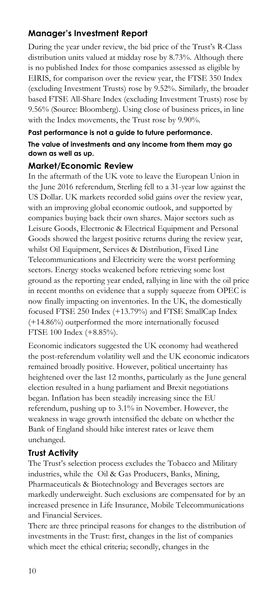# **Manager's Investment Report**

During the year under review, the bid price of the Trust's R-Class distribution units valued at midday rose by 8.73%. Although there is no published Index for those companies assessed as eligible by EIRIS, for comparison over the review year, the FTSE 350 Index (excluding Investment Trusts) rose by 9.52%. Similarly, the broader based FTSE All-Share Index (excluding Investment Trusts) rose by 9.56% (Source: Bloomberg). Using close of business prices, in line with the Index movements, the Trust rose by 9.90%.

#### **Past performance is not a guide to future performance. The value of investments and any income from them may go down as well as up.**

## **Market/Economic Review**

In the aftermath of the UK vote to leave the European Union in the June 2016 referendum, Sterling fell to a 31-year low against the US Dollar. UK markets recorded solid gains over the review year, with an improving global economic outlook, and supported by companies buying back their own shares. Major sectors such as Leisure Goods, Electronic & Electrical Equipment and Personal Goods showed the largest positive returns during the review year, whilst Oil Equipment, Services & Distribution, Fixed Line Telecommunications and Electricity were the worst performing sectors. Energy stocks weakened before retrieving some lost ground as the reporting year ended, rallying in line with the oil price in recent months on evidence that a supply squeeze from OPEC is now finally impacting on inventories. In the UK, the domestically focused FTSE 250 Index (+13.79%) and FTSE SmallCap Index (+14.86%) outperformed the more internationally focused FTSE 100 Index (+8.85%).

Economic indicators suggested the UK economy had weathered the post-referendum volatility well and the UK economic indicators remained broadly positive. However, political uncertainty has heightened over the last 12 months, particularly as the June general election resulted in a hung parliament and Brexit negotiations began. Inflation has been steadily increasing since the EU referendum, pushing up to 3.1% in November. However, the weakness in wage growth intensified the debate on whether the Bank of England should hike interest rates or leave them unchanged.

## **Trust Activity**

The Trust's selection process excludes the Tobacco and Military industries, while the Oil & Gas Producers, Banks, Mining, Pharmaceuticals & Biotechnology and Beverages sectors are markedly underweight. Such exclusions are compensated for by an increased presence in Life Insurance, Mobile Telecommunications and Financial Services.

There are three principal reasons for changes to the distribution of investments in the Trust: first, changes in the list of companies which meet the ethical criteria; secondly, changes in the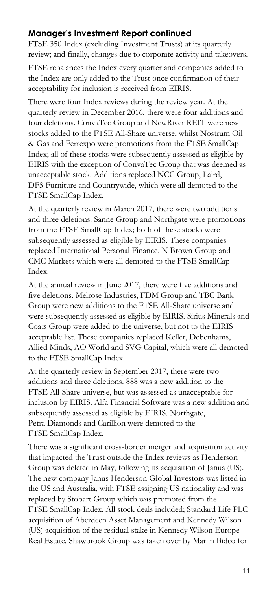## **Manager's Investment Report continued**

FTSE 350 Index (excluding Investment Trusts) at its quarterly review; and finally, changes due to corporate activity and takeovers.

FTSE rebalances the Index every quarter and companies added to the Index are only added to the Trust once confirmation of their acceptability for inclusion is received from EIRIS.

There were four Index reviews during the review year. At the quarterly review in December 2016, there were four additions and four deletions. ConvaTec Group and NewRiver REIT were new stocks added to the FTSE All-Share universe, whilst Nostrum Oil & Gas and Ferrexpo were promotions from the FTSE SmallCap Index; all of these stocks were subsequently assessed as eligible by EIRIS with the exception of ConvaTec Group that was deemed as unacceptable stock. Additions replaced NCC Group, Laird, DFS Furniture and Countrywide, which were all demoted to the FTSE SmallCap Index.

At the quarterly review in March 2017, there were two additions and three deletions. Sanne Group and Northgate were promotions from the FTSE SmallCap Index; both of these stocks were subsequently assessed as eligible by EIRIS. These companies replaced International Personal Finance, N Brown Group and CMC Markets which were all demoted to the FTSE SmallCap Index.

At the annual review in June 2017, there were five additions and five deletions. Melrose Industries, FDM Group and TBC Bank Group were new additions to the FTSE All-Share universe and were subsequently assessed as eligible by EIRIS. Sirius Minerals and Coats Group were added to the universe, but not to the EIRIS acceptable list. These companies replaced Keller, Debenhams, Allied Minds, AO World and SVG Capital, which were all demoted to the FTSE SmallCap Index.

At the quarterly review in September 2017, there were two additions and three deletions. 888 was a new addition to the FTSE All-Share universe, but was assessed as unacceptable for inclusion by EIRIS. Alfa Financial Software was a new addition and subsequently assessed as eligible by EIRIS. Northgate, Petra Diamonds and Carillion were demoted to the FTSE SmallCap Index.

There was a significant cross-border merger and acquisition activity that impacted the Trust outside the Index reviews as Henderson Group was deleted in May, following its acquisition of Janus (US). The new company Janus Henderson Global Investors was listed in the US and Australia, with FTSE assigning US nationality and was replaced by Stobart Group which was promoted from the FTSE SmallCap Index. All stock deals included; Standard Life PLC acquisition of Aberdeen Asset Management and Kennedy Wilson (US) acquisition of the residual stake in Kennedy Wilson Europe Real Estate. Shawbrook Group was taken over by Marlin Bidco for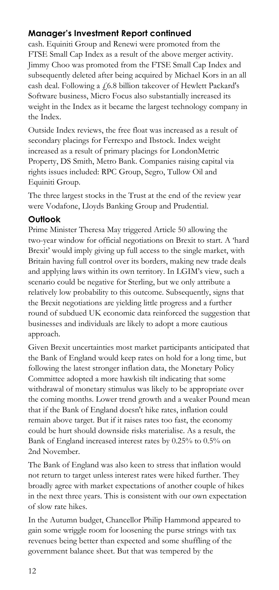# **Manager's Investment Report continued**

cash. Equiniti Group and Renewi were promoted from the FTSE Small Cap Index as a result of the above merger activity. Jimmy Choo was promoted from the FTSE Small Cap Index and subsequently deleted after being acquired by Michael Kors in an all cash deal. Following a £6.8 billion takeover of Hewlett Packard's Software business, Micro Focus also substantially increased its weight in the Index as it became the largest technology company in the Index.

Outside Index reviews, the free float was increased as a result of secondary placings for Ferrexpo and Ibstock. Index weight increased as a result of primary placings for LondonMetric Property, DS Smith, Metro Bank. Companies raising capital via rights issues included: RPC Group, Segro, Tullow Oil and Equiniti Group.

The three largest stocks in the Trust at the end of the review year were Vodafone, Lloyds Banking Group and Prudential.

## **Outlook**

Prime Minister Theresa May triggered Article 50 allowing the two-year window for official negotiations on Brexit to start. A 'hard Brexit' would imply giving up full access to the single market, with Britain having full control over its borders, making new trade deals and applying laws within its own territory. In LGIM's view, such a scenario could be negative for Sterling, but we only attribute a relatively low probability to this outcome. Subsequently, signs that the Brexit negotiations are yielding little progress and a further round of subdued UK economic data reinforced the suggestion that businesses and individuals are likely to adopt a more cautious approach.

Given Brexit uncertainties most market participants anticipated that the Bank of England would keep rates on hold for a long time, but following the latest stronger inflation data, the Monetary Policy Committee adopted a more hawkish tilt indicating that some withdrawal of monetary stimulus was likely to be appropriate over the coming months. Lower trend growth and a weaker Pound mean that if the Bank of England doesn't hike rates, inflation could remain above target. But if it raises rates too fast, the economy could be hurt should downside risks materialise. As a result, the Bank of England increased interest rates by 0.25% to 0.5% on 2nd November.

The Bank of England was also keen to stress that inflation would not return to target unless interest rates were hiked further. They broadly agree with market expectations of another couple of hikes in the next three years. This is consistent with our own expectation of slow rate hikes.

In the Autumn budget, Chancellor Philip Hammond appeared to gain some wriggle room for loosening the purse strings with tax revenues being better than expected and some shuffling of the government balance sheet. But that was tempered by the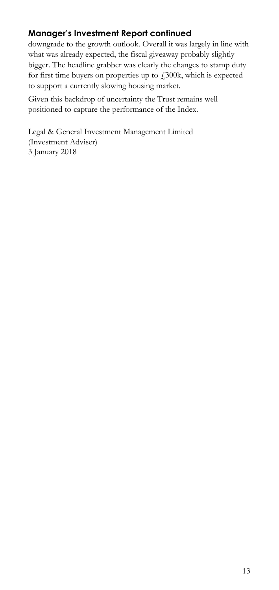# **Manager's Investment Report continued**

downgrade to the growth outlook. Overall it was largely in line with what was already expected, the fiscal giveaway probably slightly bigger. The headline grabber was clearly the changes to stamp duty for first time buyers on properties up to  $f$ , 300k, which is expected to support a currently slowing housing market.

Given this backdrop of uncertainty the Trust remains well positioned to capture the performance of the Index.

Legal & General Investment Management Limited (Investment Adviser) 3 January 2018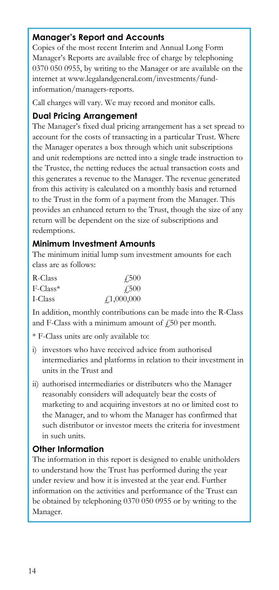## **Manager's Report and Accounts**

Copies of the most recent Interim and Annual Long Form Manager's Reports are available free of charge by telephoning 0370 050 0955, by writing to the Manager or are available on the internet at www.legalandgeneral.com/investments/fundinformation/managers-reports.

Call charges will vary. We may record and monitor calls.

## **Dual Pricing Arrangement**

The Manager's fixed dual pricing arrangement has a set spread to account for the costs of transacting in a particular Trust. Where the Manager operates a box through which unit subscriptions and unit redemptions are netted into a single trade instruction to the Trustee, the netting reduces the actual transaction costs and this generates a revenue to the Manager. The revenue generated from this activity is calculated on a monthly basis and returned to the Trust in the form of a payment from the Manager. This provides an enhanced return to the Trust, though the size of any return will be dependent on the size of subscriptions and redemptions.

## **Minimum Investment Amounts**

The minimum initial lump sum investment amounts for each class are as follows:

| R-Class                 | 4.500            |
|-------------------------|------------------|
| $F$ -Class <sup>*</sup> | $\sqrt{500}$     |
| I-Class                 | $\neq 1,000,000$ |

In addition, monthly contributions can be made into the R-Class and F-Class with a minimum amount of  $f<sub>1</sub>50$  per month.

\* F-Class units are only available to:

- i) investors who have received advice from authorised intermediaries and platforms in relation to their investment in units in the Trust and
- ii) authorised intermediaries or distributers who the Manager reasonably considers will adequately bear the costs of marketing to and acquiring investors at no or limited cost to the Manager, and to whom the Manager has confirmed that such distributor or investor meets the criteria for investment in such units.

## **Other Information**

The information in this report is designed to enable unitholders to understand how the Trust has performed during the year under review and how it is invested at the year end. Further information on the activities and performance of the Trust can be obtained by telephoning 0370 050 0955 or by writing to the Manager.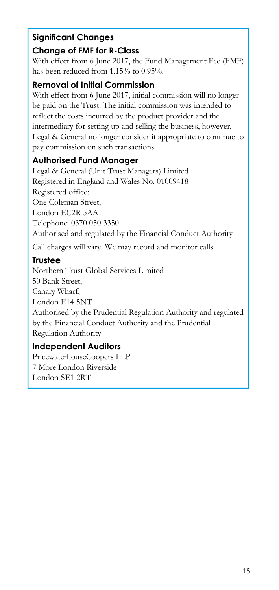# **Significant Changes**

# **Change of FMF for R-Class**

With effect from 6 June 2017, the Fund Management Fee (FMF) has been reduced from 1.15% to 0.95%.

## **Removal of Initial Commission**

With effect from 6 June 2017, initial commission will no longer be paid on the Trust. The initial commission was intended to reflect the costs incurred by the product provider and the intermediary for setting up and selling the business, however, Legal & General no longer consider it appropriate to continue to pay commission on such transactions.

# **Authorised Fund Manager**

Legal & General (Unit Trust Managers) Limited Registered in England and Wales No. 01009418 Registered office: One Coleman Street, London EC2R 5AA Telephone: 0370 050 3350 Authorised and regulated by the Financial Conduct Authority

Call charges will vary. We may record and monitor calls.

# **Trustee**

Northern Trust Global Services Limited 50 Bank Street, Canary Wharf, London E14 5NT Authorised by the Prudential Regulation Authority and regulated by the Financial Conduct Authority and the Prudential Regulation Authority

# **Independent Auditors**

PricewaterhouseCoopers LLP 7 More London Riverside London SE1 2RT